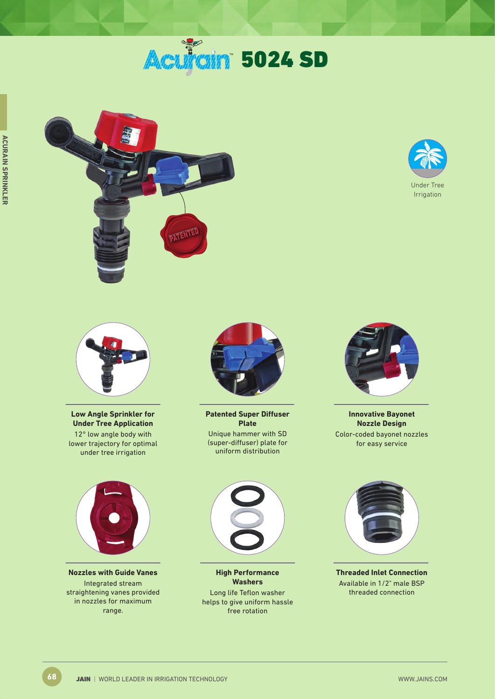# **Acuiri 5024 SD**







**Low Angle Sprinkler for Under Tree Application** 12° low angle body with lower trajectory for optimal under tree irrigation



**Nozzles with Guide Vanes** Integrated stream straightening vanes provided in nozzles for maximum range.



**Patented Super Diffuser Plate** Unique hammer with SD (super-diffuser) plate for uniform distribution



**Innovative Bayonet Nozzle Design** Color-coded bayonet nozzles for easy service



**High Performance Washers** Long life Teflon washer helps to give uniform hassle free rotation



**Threaded Inlet Connection** Available in 1/2" male BSP threaded connection